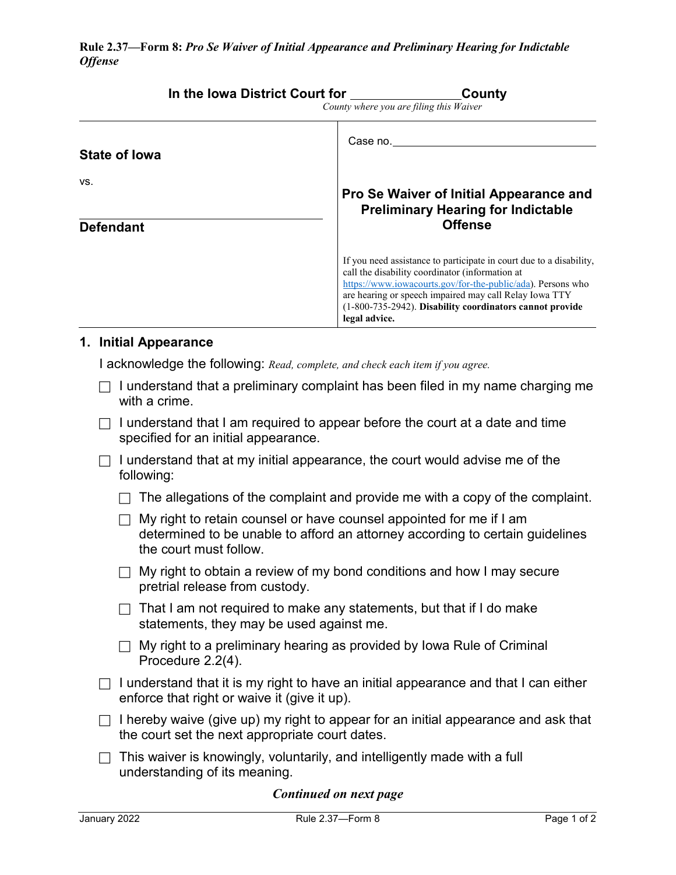|                         | In the lowa District Court for                                                 | County<br>County where you are filing this Waiver                                                                                                                                                                                                                                                                            |  |
|-------------------------|--------------------------------------------------------------------------------|------------------------------------------------------------------------------------------------------------------------------------------------------------------------------------------------------------------------------------------------------------------------------------------------------------------------------|--|
| <b>State of lowa</b>    |                                                                                | Case no.                                                                                                                                                                                                                                                                                                                     |  |
| VS.<br><b>Defendant</b> |                                                                                | Pro Se Waiver of Initial Appearance and<br><b>Preliminary Hearing for Indictable</b><br><b>Offense</b>                                                                                                                                                                                                                       |  |
|                         |                                                                                | If you need assistance to participate in court due to a disability,<br>call the disability coordinator (information at<br>https://www.iowacourts.gov/for-the-public/ada). Persons who<br>are hearing or speech impaired may call Relay Iowa TTY<br>(1-800-735-2942). Disability coordinators cannot provide<br>legal advice. |  |
| 1. Initial Appearance   | I acknowledge the following: Read, complete, and check each item if you agree. |                                                                                                                                                                                                                                                                                                                              |  |

- $\Box$  I understand that a preliminary complaint has been filed in my name charging me with a crime.
- $\Box$  I understand that I am required to appear before the court at a date and time specified for an initial appearance.
- $\Box$  I understand that at my initial appearance, the court would advise me of the following:
	- $\Box$  The allegations of the complaint and provide me with a copy of the complaint.
	- $\Box$  My right to retain counsel or have counsel appointed for me if I am determined to be unable to afford an attorney according to certain guidelines the court must follow.
	- $\Box$  My right to obtain a review of my bond conditions and how I may secure pretrial release from custody.
	- $\Box$  That I am not required to make any statements, but that if I do make statements, they may be used against me.
	- $\Box$  My right to a preliminary hearing as provided by Iowa Rule of Criminal Procedure 2.2(4).
- $\Box$  I understand that it is my right to have an initial appearance and that I can either enforce that right or waive it (give it up).
- $\Box$  I hereby waive (give up) my right to appear for an initial appearance and ask that the court set the next appropriate court dates.
- $\Box$  This waiver is knowingly, voluntarily, and intelligently made with a full understanding of its meaning.

## *Continued on next page*